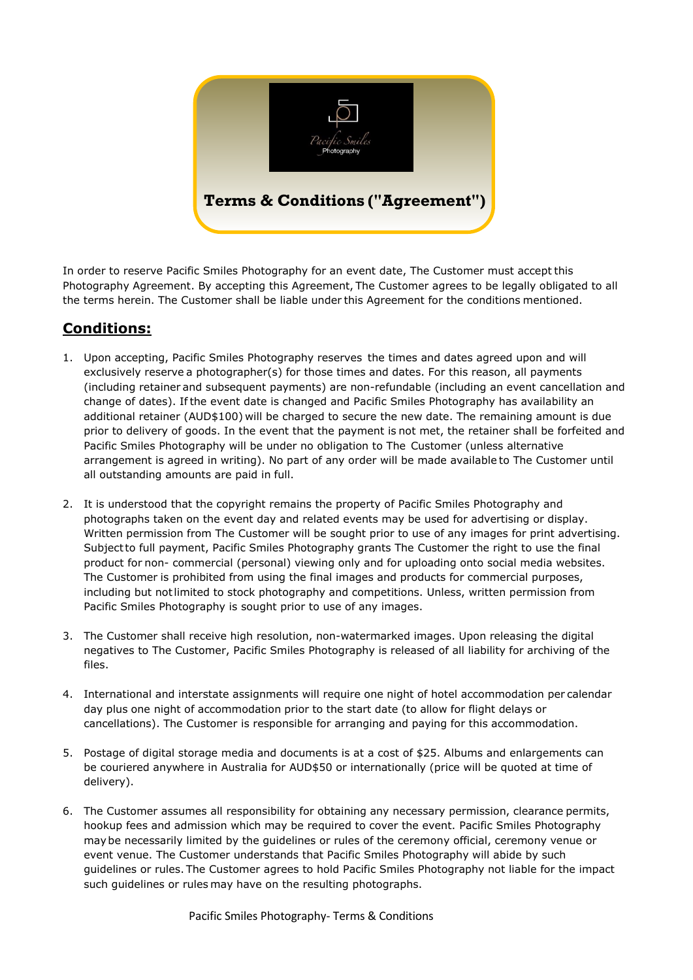

In order to reserve Pacific Smiles Photography for an event date, The Customer must accept this Photography Agreement. By accepting this Agreement, The Customer agrees to be legally obligated to all the terms herein. The Customer shall be liable under this Agreement for the conditions mentioned.

## **Conditions:**

- 1. Upon accepting, Pacific Smiles Photography reserves the times and dates agreed upon and will exclusively reserve a photographer(s) for those times and dates. For this reason, all payments (including retainer and subsequent payments) are non-refundable (including an event cancellation and change of dates). Ifthe event date is changed and Pacific Smiles Photography has availability an additional retainer (AUD\$100) will be charged to secure the new date. The remaining amount is due prior to delivery of goods. In the event that the payment is not met, the retainer shall be forfeited and Pacific Smiles Photography will be under no obligation to The Customer (unless alternative arrangement is agreed in writing). No part of any order will be made available to The Customer until all outstanding amounts are paid in full.
- 2. It is understood that the copyright remains the property of Pacific Smiles Photography and photographs taken on the event day and related events may be used for advertising or display. Written permission from The Customer will be sought prior to use of any images for print advertising. Subjectto full payment, Pacific Smiles Photography grants The Customer the right to use the final product for non- commercial (personal) viewing only and for uploading onto social media websites. The Customer is prohibited from using the final images and products for commercial purposes, including but notlimited to stock photography and competitions. Unless, written permission from Pacific Smiles Photography is sought prior to use of any images.
- 3. The Customer shall receive high resolution, non-watermarked images. Upon releasing the digital negatives to The Customer, Pacific Smiles Photography is released of all liability for archiving of the files.
- 4. International and interstate assignments will require one night of hotel accommodation per calendar day plus one night of accommodation prior to the start date (to allow for flight delays or cancellations). The Customer is responsible for arranging and paying for this accommodation.
- 5. Postage of digital storage media and documents is at a cost of \$25. Albums and enlargements can be couriered anywhere in Australia for AUD\$50 or internationally (price will be quoted at time of delivery).
- 6. The Customer assumes all responsibility for obtaining any necessary permission, clearance permits, hookup fees and admission which may be required to cover the event. Pacific Smiles Photography maybe necessarily limited by the guidelines or rules of the ceremony official, ceremony venue or event venue. The Customer understands that Pacific Smiles Photography will abide by such guidelines or rules. The Customer agrees to hold Pacific Smiles Photography not liable for the impact such guidelines or rules may have on the resulting photographs.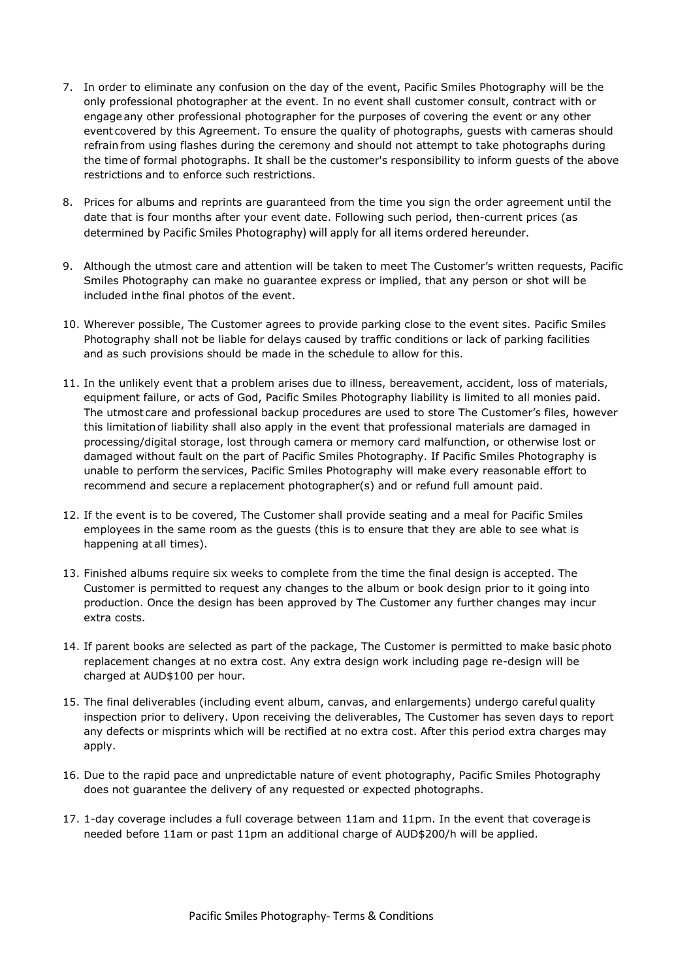- 7. In order to eliminate any confusion on the day of the event, Pacific Smiles Photography will be the only professional photographer at the event. In no event shall customer consult, contract with or engage any other professional photographer for the purposes of covering the event or any other event covered by this Agreement. To ensure the quality of photographs, guests with cameras should refrain from using flashes during the ceremony and should not attempt to take photographs during the time of formal photographs. It shall be the customer's responsibility to inform guests of the above restrictions and to enforce such restrictions.
- 8. Prices for albums and reprints are guaranteed from the time you sign the order agreement until the date that is four months after your event date. Following such period, then-current prices (as determined by Pacific Smiles Photography) will apply for all items ordered hereunder.
- 9. Although the utmost care and attention will be taken to meet The Customer's written requests, Pacific Smiles Photography can make no guarantee express or implied, that any person or shot will be included inthe final photos of the event.
- 10. Wherever possible, The Customer agrees to provide parking close to the event sites. Pacific Smiles Photography shall not be liable for delays caused by traffic conditions or lack of parking facilities and as such provisions should be made in the schedule to allow for this.
- 11. In the unlikely event that a problem arises due to illness, bereavement, accident, loss of materials, equipment failure, or acts of God, Pacific Smiles Photography liability is limited to all monies paid. The utmost care and professional backup procedures are used to store The Customer's files, however this limitationof liability shall also apply in the event that professional materials are damaged in processing/digital storage, lost through camera or memory card malfunction, or otherwise lost or damaged without fault on the part of Pacific Smiles Photography. If Pacific Smiles Photography is unable to perform the services, Pacific Smiles Photography will make every reasonable effort to recommend and secure a replacement photographer(s) and or refund full amount paid.
- 12. If the event is to be covered, The Customer shall provide seating and a meal for Pacific Smiles employees in the same room as the guests (this is to ensure that they are able to see what is happening at all times).
- 13. Finished albums require six weeks to complete from the time the final design is accepted. The Customer is permitted to request any changes to the album or book design prior to it going into production. Once the design has been approved by The Customer any further changes may incur extra costs.
- 14. If parent books are selected as part of the package, The Customer is permitted to make basic photo replacement changes at no extra cost. Any extra design work including page re-design will be charged at AUD\$100 per hour.
- 15. The final deliverables (including event album, canvas, and enlargements) undergo careful quality inspection prior to delivery. Upon receiving the deliverables, The Customer has seven days to report any defects or misprints which will be rectified at no extra cost. After this period extra charges may apply.
- 16. Due to the rapid pace and unpredictable nature of event photography, Pacific Smiles Photography does not guarantee the delivery of any requested or expected photographs.
- 17. 1-day coverage includes a full coverage between 11am and 11pm. In the event that coverage is needed before 11am or past 11pm an additional charge of AUD\$200/h will be applied.